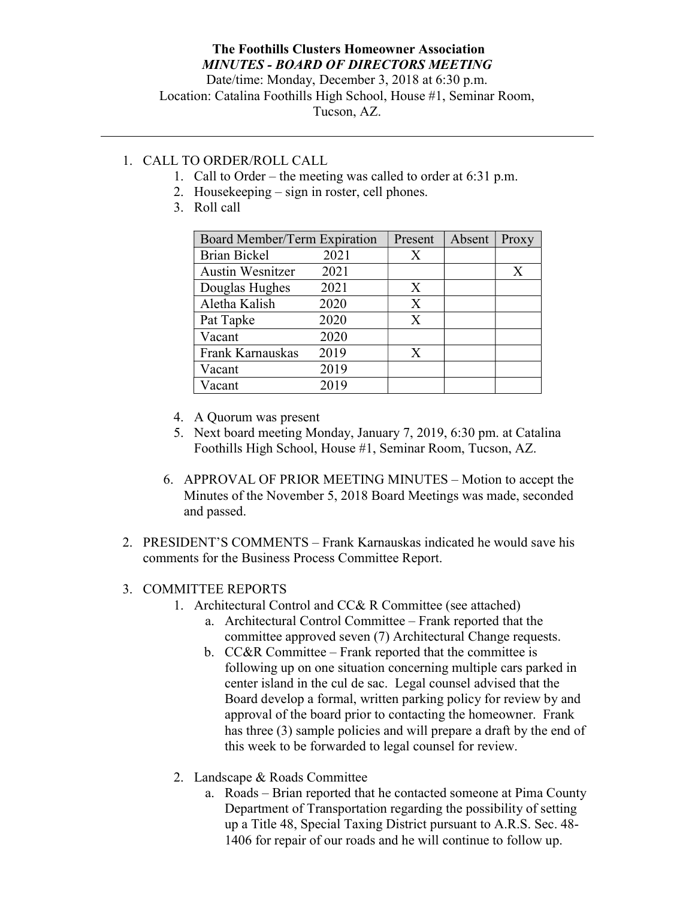## The Foothills Clusters Homeowner Association MINUTES - BOARD OF DIRECTORS MEETING

Date/time: Monday, December 3, 2018 at 6:30 p.m. Location: Catalina Foothills High School, House #1, Seminar Room, Tucson, AZ.

## 1. CALL TO ORDER/ROLL CALL

- 1. Call to Order the meeting was called to order at 6:31 p.m.
- 2. Housekeeping sign in roster, cell phones.
- 3. Roll call

| Board Member/Term Expiration |      | Present | Absent | Proxy |
|------------------------------|------|---------|--------|-------|
| <b>Brian Bickel</b>          | 2021 | X       |        |       |
| <b>Austin Wesnitzer</b>      | 2021 |         |        | X     |
| Douglas Hughes               | 2021 | X       |        |       |
| Aletha Kalish                | 2020 | X       |        |       |
| Pat Tapke                    | 2020 | X       |        |       |
| Vacant                       | 2020 |         |        |       |
| Frank Karnauskas             | 2019 | X       |        |       |
| Vacant                       | 2019 |         |        |       |
| Vacant                       | 2019 |         |        |       |

- 4. A Quorum was present
- 5. Next board meeting Monday, January 7, 2019, 6:30 pm. at Catalina Foothills High School, House #1, Seminar Room, Tucson, AZ.
- 6. APPROVAL OF PRIOR MEETING MINUTES Motion to accept the Minutes of the November 5, 2018 Board Meetings was made, seconded and passed.
- 2. PRESIDENT'S COMMENTS Frank Karnauskas indicated he would save his comments for the Business Process Committee Report.

## 3. COMMITTEE REPORTS

- 1. Architectural Control and CC& R Committee (see attached)
	- a. Architectural Control Committee Frank reported that the committee approved seven (7) Architectural Change requests.
	- b. CC&R Committee Frank reported that the committee is following up on one situation concerning multiple cars parked in center island in the cul de sac. Legal counsel advised that the Board develop a formal, written parking policy for review by and approval of the board prior to contacting the homeowner. Frank has three (3) sample policies and will prepare a draft by the end of this week to be forwarded to legal counsel for review.
- 2. Landscape & Roads Committee
	- a. Roads Brian reported that he contacted someone at Pima County Department of Transportation regarding the possibility of setting up a Title 48, Special Taxing District pursuant to A.R.S. Sec. 48- 1406 for repair of our roads and he will continue to follow up.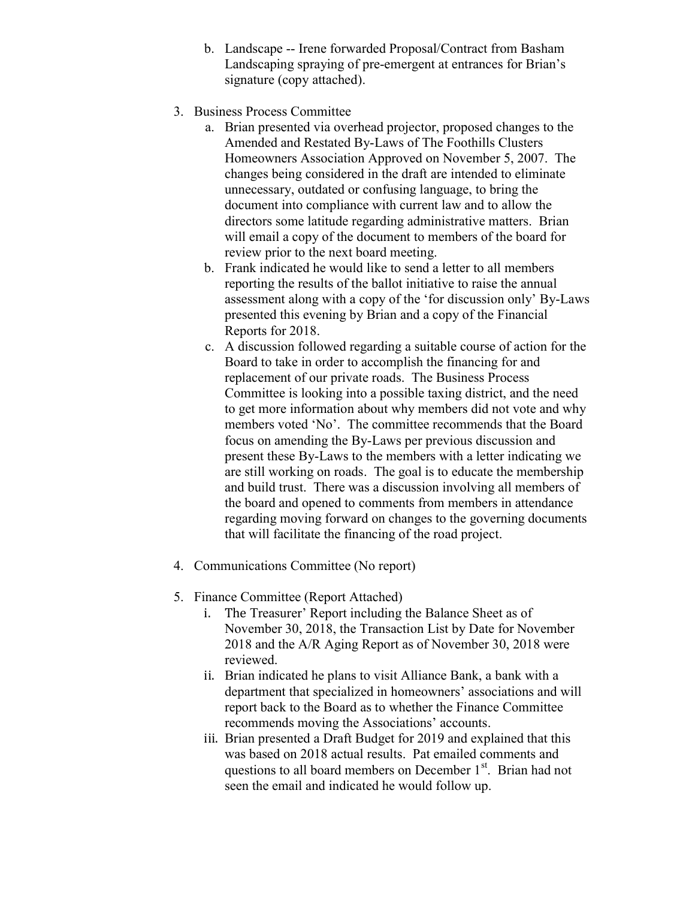- b. Landscape -- Irene forwarded Proposal/Contract from Basham Landscaping spraying of pre-emergent at entrances for Brian's signature (copy attached).
- 3. Business Process Committee
	- a. Brian presented via overhead projector, proposed changes to the Amended and Restated By-Laws of The Foothills Clusters Homeowners Association Approved on November 5, 2007. The changes being considered in the draft are intended to eliminate unnecessary, outdated or confusing language, to bring the document into compliance with current law and to allow the directors some latitude regarding administrative matters. Brian will email a copy of the document to members of the board for review prior to the next board meeting.
	- b. Frank indicated he would like to send a letter to all members reporting the results of the ballot initiative to raise the annual assessment along with a copy of the 'for discussion only' By-Laws presented this evening by Brian and a copy of the Financial Reports for 2018.
	- c. A discussion followed regarding a suitable course of action for the Board to take in order to accomplish the financing for and replacement of our private roads. The Business Process Committee is looking into a possible taxing district, and the need to get more information about why members did not vote and why members voted 'No'. The committee recommends that the Board focus on amending the By-Laws per previous discussion and present these By-Laws to the members with a letter indicating we are still working on roads. The goal is to educate the membership and build trust. There was a discussion involving all members of the board and opened to comments from members in attendance regarding moving forward on changes to the governing documents that will facilitate the financing of the road project.
- 4. Communications Committee (No report)
- 5. Finance Committee (Report Attached)
	- i. The Treasurer' Report including the Balance Sheet as of November 30, 2018, the Transaction List by Date for November 2018 and the A/R Aging Report as of November 30, 2018 were reviewed.
	- ii. Brian indicated he plans to visit Alliance Bank, a bank with a department that specialized in homeowners' associations and will report back to the Board as to whether the Finance Committee recommends moving the Associations' accounts.
	- iii. Brian presented a Draft Budget for 2019 and explained that this was based on 2018 actual results. Pat emailed comments and questions to all board members on December 1<sup>st</sup>. Brian had not seen the email and indicated he would follow up.